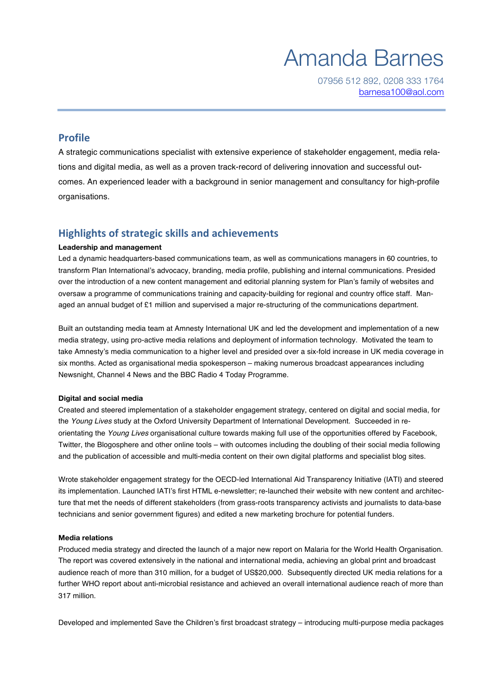# Amanda Barnes

07956 512 892, 0208 333 1764 barnesa100@aol.com

### **Profile**

A strategic communications specialist with extensive experience of stakeholder engagement, media relations and digital media, as well as a proven track-record of delivering innovation and successful outcomes. An experienced leader with a background in senior management and consultancy for high-profile organisations.

## **Highlights of strategic skills and achievements**

#### **Leadership and management**

Led a dynamic headquarters-based communications team, as well as communications managers in 60 countries, to transform Plan International's advocacy, branding, media profile, publishing and internal communications. Presided over the introduction of a new content management and editorial planning system for Plan's family of websites and oversaw a programme of communications training and capacity-building for regional and country office staff. Managed an annual budget of £1 million and supervised a major re-structuring of the communications department.

Built an outstanding media team at Amnesty International UK and led the development and implementation of a new media strategy, using pro-active media relations and deployment of information technology. Motivated the team to take Amnesty's media communication to a higher level and presided over a six-fold increase in UK media coverage in six months. Acted as organisational media spokesperson – making numerous broadcast appearances including Newsnight, Channel 4 News and the BBC Radio 4 Today Programme.

#### **Digital and social media**

Created and steered implementation of a stakeholder engagement strategy, centered on digital and social media, for the *Young Lives* study at the Oxford University Department of International Development. Succeeded in reorientating the *Young Lives* organisational culture towards making full use of the opportunities offered by Facebook, Twitter, the Blogosphere and other online tools – with outcomes including the doubling of their social media following and the publication of accessible and multi-media content on their own digital platforms and specialist blog sites.

Wrote stakeholder engagement strategy for the OECD-led International Aid Transparency Initiative (IATI) and steered its implementation. Launched IATI's first HTML e-newsletter; re-launched their website with new content and architecture that met the needs of different stakeholders (from grass-roots transparency activists and journalists to data-base technicians and senior government figures) and edited a new marketing brochure for potential funders.

#### **Media relations**

Produced media strategy and directed the launch of a major new report on Malaria for the World Health Organisation. The report was covered extensively in the national and international media, achieving an global print and broadcast audience reach of more than 310 million, for a budget of US\$20,000. Subsequently directed UK media relations for a further WHO report about anti-microbial resistance and achieved an overall international audience reach of more than 317 million.

Developed and implemented Save the Children's first broadcast strategy – introducing multi-purpose media packages